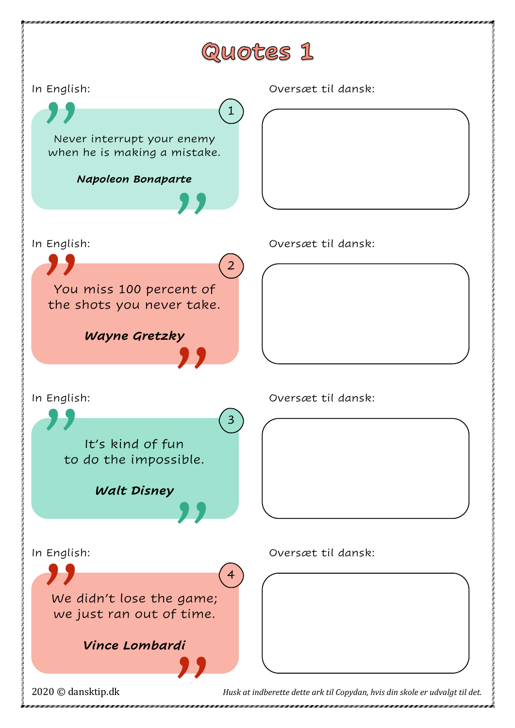## Quotes 1